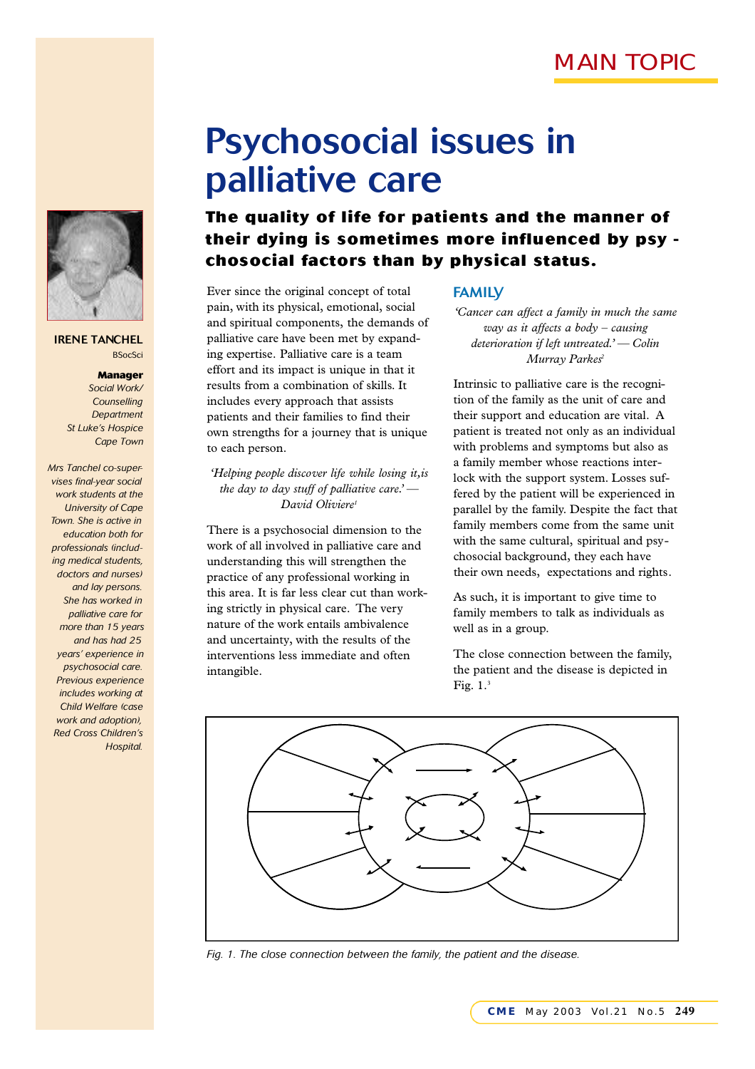

*The quality of life for patients and the manner of their dying is sometimes more influenced by psy chosocial factors than by physical status.* 

Ever since the original concept of total pain, with its physical, emotional, social and spiritual components, the demands of palliative care have been met by expanding expertise. Palliative care is a team effort and its impact is unique in that it results from a combination of skills. It includes every approach that assists patients and their families to find their own strengths for a journey that is unique to each person.

*'Helping people discover life while losing it,is the day to day stuff of palliative care.' — David Oliviere<sup>1</sup>*

There is a psychosocial dimension to the work of all involved in palliative care and understanding this will strengthen the practice of any professional working in this area. It is far less clear cut than working strictly in physical care. The very nature of the work entails ambivalence and uncertainty, with the results of the interventions less immediate and often intangible.

### FAMILY

*'Cancer can affect a family in much the same way as it affects a body – causing deterioration if left untreated.' — Colin Murray Parkes<sup>2</sup>*

Intrinsic to palliative care is the recognition of the family as the unit of care and their support and education are vital. A patient is treated not only as an individual with problems and symptoms but also as a family member whose reactions interlock with the support system. Losses suffered by the patient will be experienced in parallel by the family. Despite the fact that family members come from the same unit with the same cultural, spiritual and psychosocial background, they each have their own needs, expectations and rights.

As such, it is important to give time to family members to talk as individuals as well as in a group.

The close connection between the family, the patient and the disease is depicted in Fig. 1.<sup>3</sup>



*Fig. 1. The close connection between the family, the patient and the disease.*



IRENE TANCHEL **BSocSci** 

> *Manager Social Work/ Counselling Department St Luke's Hospice Cape Town*

*Mrs Tanchel co-supervises final-year social work students at the University of Cape Town. She is active in education both for professionals (including medical students, doctors and nurses) and lay persons. She has worked in palliative care for more than 15 years and has had 25 years' experience in psychosocial care. Previous experience includes working at Child Welfare (case work and adoption), Red Cross Children's Hospital.*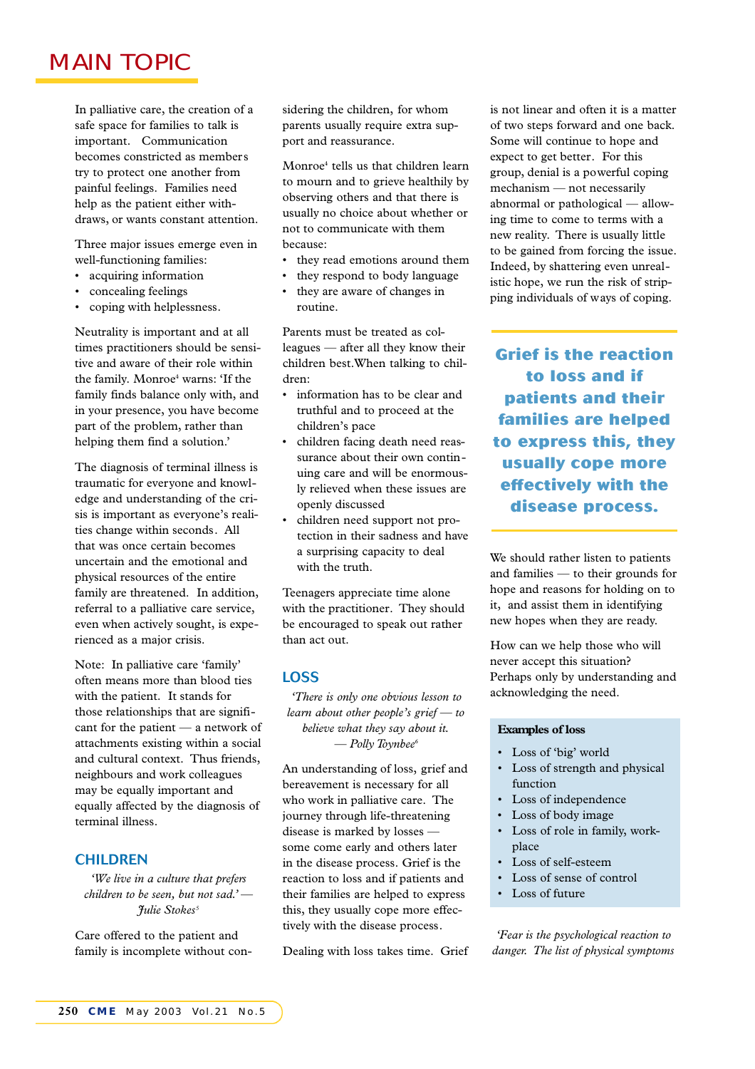# **MAIN TOPIC**

In palliative care, the creation of a safe space for families to talk is important. Communication becomes constricted as members try to protect one another from painful feelings. Families need help as the patient either withdraws, or wants constant attention.

Three major issues emerge even in well-functioning families:

- acquiring information
- concealing feelings
- coping with helplessness.

Neutrality is important and at all times practitioners should be sensitive and aware of their role within the family. Monroe<sup>4</sup> warns: 'If the family finds balance only with, and in your presence, you have become part of the problem, rather than helping them find a solution.'

The diagnosis of terminal illness is traumatic for everyone and knowledge and understanding of the crisis is important as everyone's realities change within seconds. All that was once certain becomes uncertain and the emotional and physical resources of the entire family are threatened. In addition, referral to a palliative care service, even when actively sought, is experienced as a major crisis.

Note: In palliative care 'family' often means more than blood ties with the patient. It stands for those relationships that are significant for the patient — a network of attachments existing within a social and cultural context. Thus friends, neighbours and work colleagues may be equally important and equally affected by the diagnosis of terminal illness.

### CHILDREN

*'We live in a culture that prefers children to be seen, but not sad.' — Julie Stokes<sup>5</sup>*

Care offered to the patient and family is incomplete without considering the children, for whom parents usually require extra support and reassurance.

Monroe<sup>4</sup> tells us that children learn to mourn and to grieve healthily by observing others and that there is usually no choice about whether or not to communicate with them because:

- they read emotions around them
- they respond to body language
- they are aware of changes in routine.

Parents must be treated as colleagues — after all they know their children best.When talking to children:

- information has to be clear and truthful and to proceed at the children's pace
- children facing death need reassurance about their own continuing care and will be enormously relieved when these issues are openly discussed
- children need support not protection in their sadness and have a surprising capacity to deal with the truth.

Teenagers appreciate time alone with the practitioner. They should be encouraged to speak out rather than act out.

### LOSS

*'There is only one obvious lesson to learn about other people's grief — to believe what they say about it. — Polly Toynbee<sup>6</sup>*

An understanding of loss, grief and bereavement is necessary for all who work in palliative care. The journey through life-threatening disease is marked by losses some come early and others later in the disease process. Grief is the reaction to loss and if patients and their families are helped to express this, they usually cope more effectively with the disease process.

Dealing with loss takes time. Grief

is not linear and often it is a matter of two steps forward and one back. Some will continue to hope and expect to get better. For this group, denial is a powerful coping mechanism — not necessarily abnormal or pathological — allowing time to come to terms with a new reality. There is usually little to be gained from forcing the issue. Indeed, by shattering even unrealistic hope, we run the risk of stripping individuals of ways of coping.

*Grief is the reaction to loss and if patients and their families are helped to express this, they usually cope more effectively with the disease process.*

We should rather listen to patients and families — to their grounds for hope and reasons for holding on to it, and assist them in identifying new hopes when they are ready.

How can we help those who will never accept this situation? Perhaps only by understanding and acknowledging the need.

#### **Examples of loss**

- Loss of 'big' world
- Loss of strength and physical function
- Loss of independence
- Loss of body image
- Loss of role in family, workplace
- Loss of self-esteem
- Loss of sense of control
- Loss of future

*'Fear is the psychological reaction to danger. The list of physical symptoms*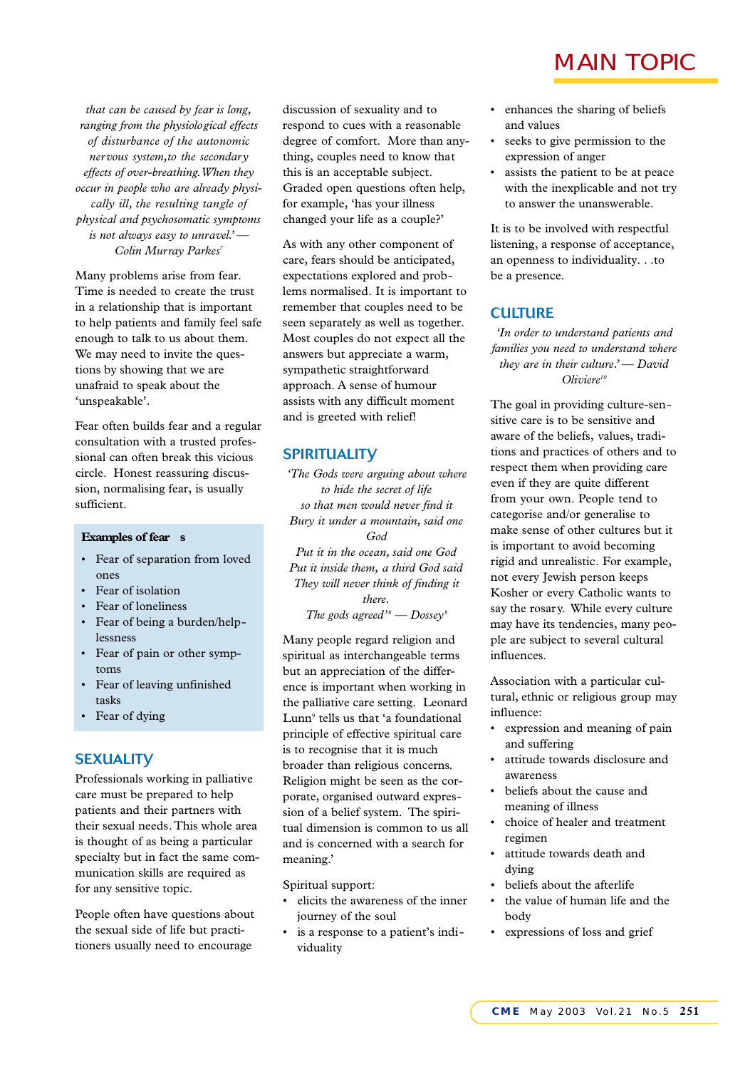*that can be caused by fear is long, ranging from the physiological effects of disturbance of the autonomic n e rvous system,to the secondary effects of over-breathing.When they occur in people who are already physically ill, the resulting tangle of p hy sical and psychosomatic symptoms is not always easy to unravel.' — Colin Murray Parkes<sup>7</sup>*

Many problems arise from fear. Time is needed to create the trust in a relationship that is important to help patients and family feel safe enough to talk to us about them. We may need to invite the questions by showing that we are unafraid to speak about the 'unspeakable'.

Fear often builds fear and a regular consultation with a trusted professional can often break this vicious circle. Honest reassuring discussion, normalising fear, is usually sufficient.

#### **Examples of fear s**

- Fear of separation from loved ones
- Fear of isolation
- Fear of loneliness
- Fear of being a burden/helplessness
- Fear of pain or other symptoms
- Fear of leaving unfinished tasks
- Fear of dying

### **SEXUALITY**

Professionals working in palliative care must be prepared to help patients and their partners with their sexual needs.This whole area is thought of as being a particular specialty but in fact the same communication skills are required as for any sensitive topic.

People often have questions about the sexual side of life but practitioners usually need to encourage

discussion of sexuality and to respond to cues with a reasonable degree of comfort. More than anything, couples need to know that this is an acceptable subject. Graded open questions often help, for example, 'has your illness changed your life as a couple?'

As with any other component of care, fears should be anticipated, expectations explored and problems normalised. It is important to remember that couples need to be seen separately as well as together. Most couples do not expect all the answers but appreciate a warm, sympathetic straightforward approach. A sense of humour assists with any difficult moment and is greeted with relief!

### **SPIRITUALITV**

*'The Gods were arguing about where to hide the secret of life so that men would never find it Bury it under a mountain, said one God Put it in the ocean, said one God Put it inside them, a third God said They will never think of finding it there. The gods agreed*<sup>*'s*</sup> — Dossey<sup>*8*</sup>

Many people regard religion and spiritual as interchangeable terms but an appreciation of the difference is important when working in the palliative care setting. Leonard Lunn<sup>9</sup> tells us that 'a foundational principle of effective spiritual care is to recognise that it is much broader than religious concerns. Religion might be seen as the corporate, organised outward expression of a belief system. The spiritual dimension is common to us all and is concerned with a search for meaning.'

Spiritual support:

- elicits the awareness of the inner journey of the soul
- is a response to a patient's individuality

## **MAIN TOPIC**

- enhances the sharing of beliefs and values
- seeks to give permission to the expression of anger
- assists the patient to be at peace with the inexplicable and not try to answer the unanswerable.

It is to be involved with respectful listening, a response of acceptance, an openness to individuality. . .to be a presence.

### **CULTURE**

*'In order to understand patients and families you need to understand where they are in their culture.' — David Oliviere<sup>10</sup>*

The goal in providing culture-sensitive care is to be sensitive and aware of the beliefs, values, traditions and practices of others and to respect them when providing care even if they are quite different from your own. People tend to categorise and/or generalise to make sense of other cultures but it is important to avoid becoming rigid and unrealistic. For example, not every Jewish person keeps Kosher or every Catholic wants to say the rosary. While every culture may have its tendencies, many people are subject to several cultural influences.

Association with a particular cultural, ethnic or religious group may influence:

- expression and meaning of pain and suffering
- attitude towards disclosure and awareness
- beliefs about the cause and meaning of illness
- choice of healer and treatment regimen
- attitude towards death and dying
- beliefs about the afterlife
- the value of human life and the body
- expressions of loss and grief